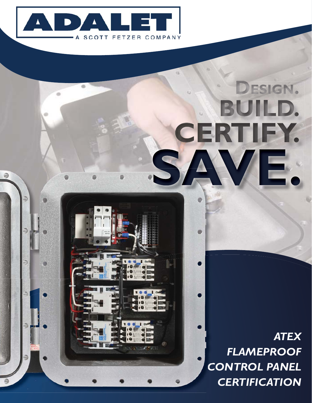

# DESIGN. BUILD. CERTIFY. SAVE.

*ATEX FLAMEPROOF CONTROL PANEL CCERTIFICATION*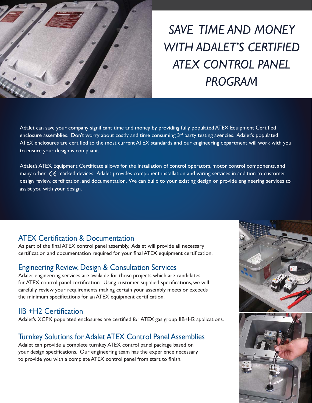

### *SAVE TIME AND MONEY WITH ADALET'S CERTIFIED ATEX CONTROL PANEL PROGRAM*

Adalet can save your company significant time and money by providing fully populated ATEX Equipment Certified enclosure assemblies. Don't worry about costly and time consuming  $3<sup>rd</sup>$  party testing agencies. Adalet's populated ATEX enclosures are certified to the most current ATEX standards and our engineering department will work with you to ensure your design is compliant.

Adalet's ATEX Equipment Certificate allows for the installation of control operators, motor control components, and many other  $\zeta$  marked devices. Adalet provides component installation and wiring services in addition to customer design review, certification, and documentation. We can build to your existing design or provide engineering services to assist you with your design.

#### **ATEX Certification & Documentation**

As part of the final ATEX control panel assembly, Adalet will provide all necessary certification and documentation required for your final ATEX equipment certification.

#### Engineering Review, Design & Consultation Services

Adalet engineering services are available for those projects which are candidates for ATEX control panel certification. Using customer supplied specifications, we will carefully review your requirements making certain your assembly meets or exceeds the minimum specifications for an ATEX equipment certification.

#### $IIB + H2$  Certification

Adalet's XCPX populated enclosures are certified for ATEX gas group IIB+H2 applications.

#### Turnkey Solutions for Adalet ATEX Control Panel Assemblies

Adalet can provide a complete turnkey ATEX control panel package based on your design specifications. Our engineering team has the experience necessary to provide you with a complete ATEX control panel from start to finish.



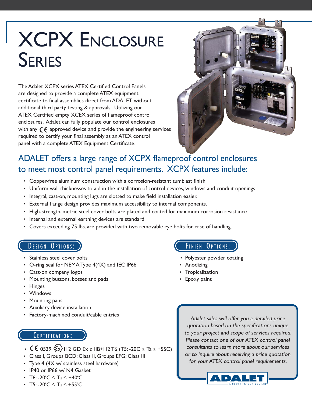## XCPX ENCLOSURE **SERIES**

The Adalet XCPX series ATEX Certified Control Panels are designed to provide a complete ATEX equipment certificate to final assemblies direct from ADALET without additional third party testing & approvals. Utilizing our ATEX Certified empty XCEX series of flameproof control enclosures, Adalet can fully populate our control enclosures with any  $\zeta$  approved device and provide the engineering services required to certify your final assembly as an ATEX control panel with a complete ATEX Equipment Certificate.



#### ADALET offers a large range of XCPX flameproof control enclosures to meet most control panel requirements. XCPX features include:

- Copper-free aluminum construction with a corrosion-resistant tumblast finish
- Uniform wall thicknesses to aid in the installation of control devices, windows and conduit openings
- Integral, cast-on, mounting lugs are slotted to make field installation easier.
- External flange design provides maximum accessibility to internal components.
- High-strength, metric steel cover bolts are plated and coated for maximum corrosion resistance
- Internal and external earthing devices are standard
- Covers exceeding 75 lbs. are provided with two removable eye bolts for ease of handling.

#### DESIGN OPTIONS:

- Stainless steel cover bolts
- O-ring seal for NEMA Type 4(4X) and IEC IP66
- Cast-on company logos
- Mounting buttons, bosses and pads
- Hinges
- Windows
- Mounting pans
- Auxiliary device installation
- Factory-machined conduit/cable entries

#### CERTIFICATION:

- **CE** 0539  $\langle \overline{\epsilon} x \rangle$  II 2 GD Ex d IIB+H2 T6 (T5: -20C  $\leq$  Ta  $\leq$  +55C)
- Class I, Groups BCD; Class II, Groups EFG; Class III
- Type 4 (4X w/ stainless steel hardware)
- IP40 or IP66 w/ N4 Gasket
- T6: -20ºC ≤ Ta ≤ +40ºC
- T5: -20°C  $\le$  Ta  $\le$  +55°C

#### FINISH OPTIONS:

- Polyester powder coating
- Anodizing
- Tropicalization
- Epoxy paint

Adalet sales will offer you a detailed price quotation based on the specifications unique to your project and scope of services required. Please contact one of our ATEX control panel consultants to learn more about our services or to inquire about receiving a price quotation for your ATEX control panel requirements.